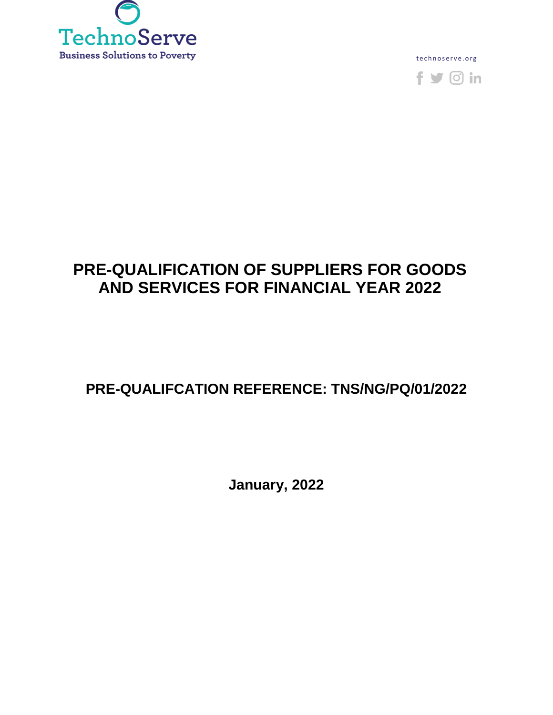

te chnoserve.org



# **PRE-QUALIFICATION OF SUPPLIERS FOR GOODS AND SERVICES FOR FINANCIAL YEAR 2022**

## **PRE-QUALIFCATION REFERENCE: TNS/NG/PQ/01/2022**

**January, 2022**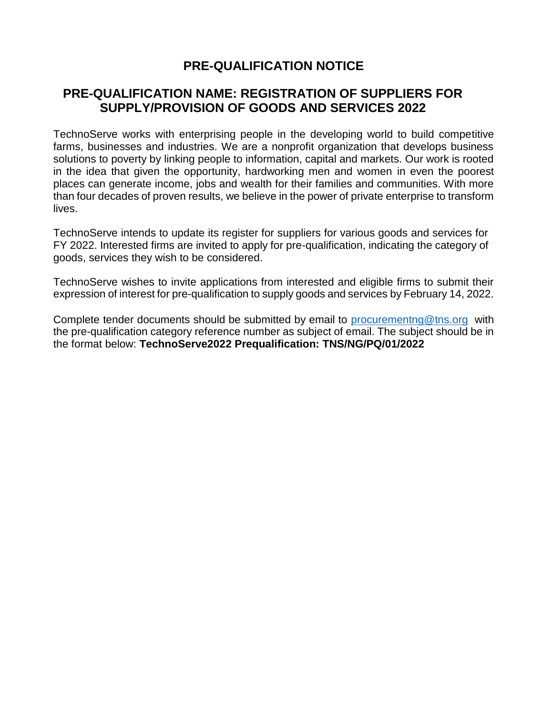## **PRE-QUALIFICATION NOTICE**

### **PRE-QUALIFICATION NAME: REGISTRATION OF SUPPLIERS FOR SUPPLY/PROVISION OF GOODS AND SERVICES 2022**

TechnoServe works with enterprising people in the developing world to build competitive farms, businesses and industries. We are a nonprofit organization that develops business solutions to poverty by linking people to information, capital and markets. Our work is rooted in the idea that given the opportunity, hardworking men and women in even the poorest places can generate income, jobs and wealth for their families and communities. With more than four decades of proven results, we believe in the power of private enterprise to transform lives.

TechnoServe intends to update its register for suppliers for various goods and services for FY 2022. Interested firms are invited to apply for pre-qualification, indicating the category of goods, services they wish to be considered.

TechnoServe wishes to invite applications from interested and eligible firms to submit their expression of interest for pre-qualification to supply goods and services by February 14, 2022.

Complete tender documents should be submitted by email to procurementng  $@$ tns.org with the pre-qualification category reference number as subject of email. The subject should be in the format below: **TechnoServe2022 Prequalification: TNS/NG/PQ/01/2022**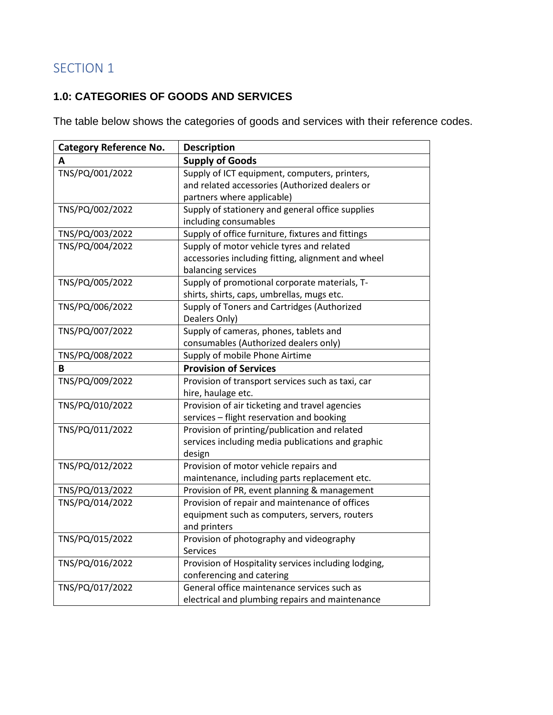### **1.0: CATEGORIES OF GOODS AND SERVICES**

The table below shows the categories of goods and services with their reference codes.

| <b>Category Reference No.</b> | <b>Description</b>                                   |
|-------------------------------|------------------------------------------------------|
| А                             | <b>Supply of Goods</b>                               |
| TNS/PQ/001/2022               | Supply of ICT equipment, computers, printers,        |
|                               | and related accessories (Authorized dealers or       |
|                               | partners where applicable)                           |
| TNS/PQ/002/2022               | Supply of stationery and general office supplies     |
|                               | including consumables                                |
| TNS/PQ/003/2022               | Supply of office furniture, fixtures and fittings    |
| TNS/PQ/004/2022               | Supply of motor vehicle tyres and related            |
|                               | accessories including fitting, alignment and wheel   |
|                               | balancing services                                   |
| TNS/PQ/005/2022               | Supply of promotional corporate materials, T-        |
|                               | shirts, shirts, caps, umbrellas, mugs etc.           |
| TNS/PQ/006/2022               | Supply of Toners and Cartridges (Authorized          |
|                               | Dealers Only)                                        |
| TNS/PQ/007/2022               | Supply of cameras, phones, tablets and               |
|                               | consumables (Authorized dealers only)                |
| TNS/PQ/008/2022               | Supply of mobile Phone Airtime                       |
| B                             | <b>Provision of Services</b>                         |
| TNS/PQ/009/2022               | Provision of transport services such as taxi, car    |
|                               | hire, haulage etc.                                   |
| TNS/PQ/010/2022               | Provision of air ticketing and travel agencies       |
|                               | services - flight reservation and booking            |
| TNS/PQ/011/2022               | Provision of printing/publication and related        |
|                               | services including media publications and graphic    |
|                               | design                                               |
| TNS/PQ/012/2022               | Provision of motor vehicle repairs and               |
|                               | maintenance, including parts replacement etc.        |
| TNS/PQ/013/2022               | Provision of PR, event planning & management         |
| TNS/PQ/014/2022               | Provision of repair and maintenance of offices       |
|                               | equipment such as computers, servers, routers        |
|                               | and printers                                         |
| TNS/PQ/015/2022               | Provision of photography and videography             |
|                               | <b>Services</b>                                      |
| TNS/PQ/016/2022               | Provision of Hospitality services including lodging, |
|                               | conferencing and catering                            |
| TNS/PQ/017/2022               | General office maintenance services such as          |
|                               | electrical and plumbing repairs and maintenance      |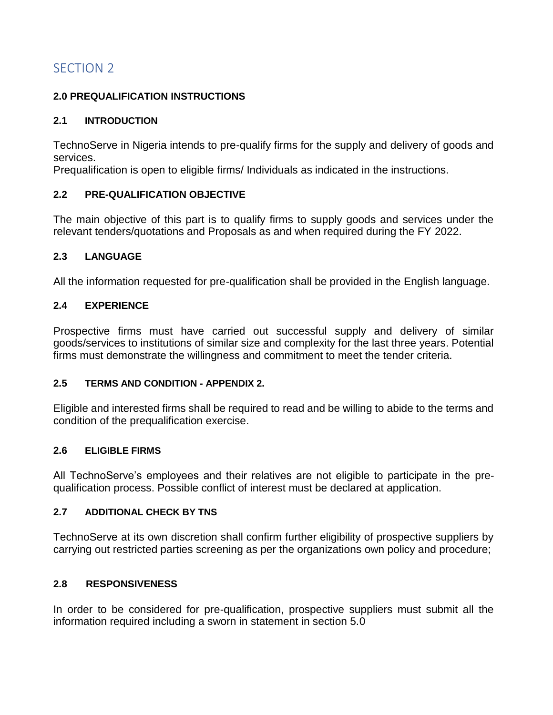### **2.0 PREQUALIFICATION INSTRUCTIONS**

### **2.1 INTRODUCTION**

TechnoServe in Nigeria intends to pre-qualify firms for the supply and delivery of goods and services.

Prequalification is open to eligible firms/ Individuals as indicated in the instructions.

### **2.2 PRE-QUALIFICATION OBJECTIVE**

The main objective of this part is to qualify firms to supply goods and services under the relevant tenders/quotations and Proposals as and when required during the FY 2022.

### **2.3 LANGUAGE**

All the information requested for pre-qualification shall be provided in the English language.

### **2.4 EXPERIENCE**

Prospective firms must have carried out successful supply and delivery of similar goods/services to institutions of similar size and complexity for the last three years. Potential firms must demonstrate the willingness and commitment to meet the tender criteria.

#### **2.5 TERMS AND CONDITION - APPENDIX 2.**

Eligible and interested firms shall be required to read and be willing to abide to the terms and condition of the prequalification exercise.

#### **2.6 ELIGIBLE FIRMS**

All TechnoServe's employees and their relatives are not eligible to participate in the prequalification process. Possible conflict of interest must be declared at application.

### **2.7 ADDITIONAL CHECK BY TNS**

TechnoServe at its own discretion shall confirm further eligibility of prospective suppliers by carrying out restricted parties screening as per the organizations own policy and procedure;

#### **2.8 RESPONSIVENESS**

In order to be considered for pre-qualification, prospective suppliers must submit all the information required including a sworn in statement in section 5.0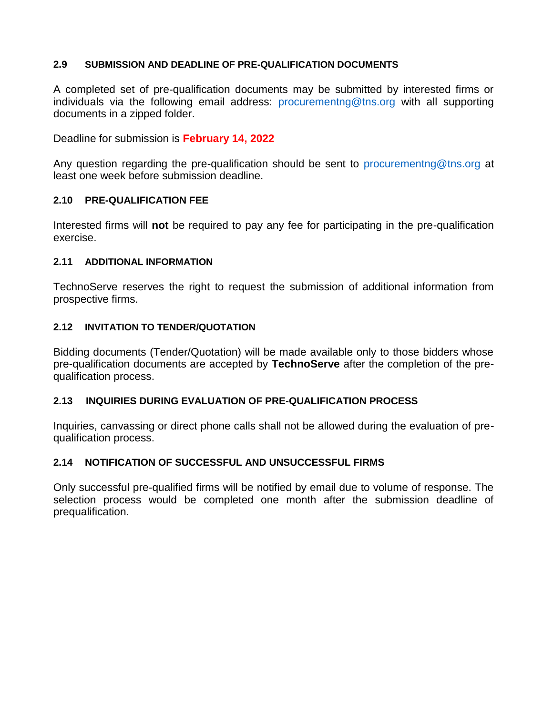### **2.9 SUBMISSION AND DEADLINE OF PRE-QUALIFICATION DOCUMENTS**

A completed set of pre-qualification documents may be submitted by interested firms or individuals via the following email address: [procurementng@tns.org](mailto:procurementng@tns.org) with all supporting documents in a zipped folder.

Deadline for submission is **February 14, 2022**

Any question regarding the pre-qualification should be sent to [procurementng@tns.org](mailto:procurementng@tns.org) at least one week before submission deadline.

### **2.10 PRE-QUALIFICATION FEE**

Interested firms will **not** be required to pay any fee for participating in the pre-qualification exercise.

#### **2.11 ADDITIONAL INFORMATION**

TechnoServe reserves the right to request the submission of additional information from prospective firms.

### **2.12 INVITATION TO TENDER/QUOTATION**

Bidding documents (Tender/Quotation) will be made available only to those bidders whose pre-qualification documents are accepted by **TechnoServe** after the completion of the prequalification process.

### **2.13 INQUIRIES DURING EVALUATION OF PRE-QUALIFICATION PROCESS**

Inquiries, canvassing or direct phone calls shall not be allowed during the evaluation of prequalification process.

### **2.14 NOTIFICATION OF SUCCESSFUL AND UNSUCCESSFUL FIRMS**

Only successful pre-qualified firms will be notified by email due to volume of response. The selection process would be completed one month after the submission deadline of prequalification.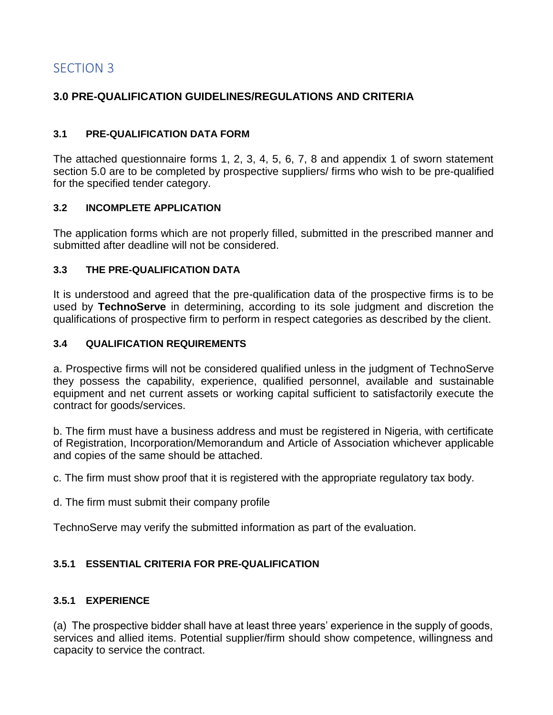### **3.0 PRE-QUALIFICATION GUIDELINES/REGULATIONS AND CRITERIA**

### **3.1 PRE-QUALIFICATION DATA FORM**

The attached questionnaire forms 1, 2, 3, 4, 5, 6, 7, 8 and appendix 1 of sworn statement section 5.0 are to be completed by prospective suppliers/ firms who wish to be pre-qualified for the specified tender category.

### **3.2 INCOMPLETE APPLICATION**

The application forms which are not properly filled, submitted in the prescribed manner and submitted after deadline will not be considered.

#### **3.3 THE PRE-QUALIFICATION DATA**

It is understood and agreed that the pre-qualification data of the prospective firms is to be used by **TechnoServe** in determining, according to its sole judgment and discretion the qualifications of prospective firm to perform in respect categories as described by the client.

### **3.4 QUALIFICATION REQUIREMENTS**

a. Prospective firms will not be considered qualified unless in the judgment of TechnoServe they possess the capability, experience, qualified personnel, available and sustainable equipment and net current assets or working capital sufficient to satisfactorily execute the contract for goods/services.

b. The firm must have a business address and must be registered in Nigeria, with certificate of Registration, Incorporation/Memorandum and Article of Association whichever applicable and copies of the same should be attached.

c. The firm must show proof that it is registered with the appropriate regulatory tax body.

d. The firm must submit their company profile

TechnoServe may verify the submitted information as part of the evaluation.

### **3.5.1 ESSENTIAL CRITERIA FOR PRE-QUALIFICATION**

#### **3.5.1 EXPERIENCE**

(a) The prospective bidder shall have at least three years' experience in the supply of goods, services and allied items. Potential supplier/firm should show competence, willingness and capacity to service the contract.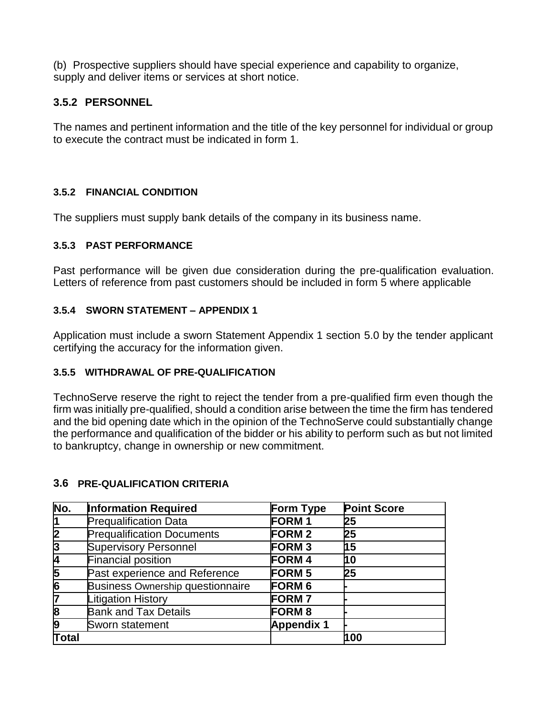(b) Prospective suppliers should have special experience and capability to organize, supply and deliver items or services at short notice.

### **3.5.2 PERSONNEL**

The names and pertinent information and the title of the key personnel for individual or group to execute the contract must be indicated in form 1.

### **3.5.2 FINANCIAL CONDITION**

The suppliers must supply bank details of the company in its business name.

### **3.5.3 PAST PERFORMANCE**

Past performance will be given due consideration during the pre-qualification evaluation. Letters of reference from past customers should be included in form 5 where applicable

### **3.5.4 SWORN STATEMENT – APPENDIX 1**

Application must include a sworn Statement Appendix 1 section 5.0 by the tender applicant certifying the accuracy for the information given.

### **3.5.5 WITHDRAWAL OF PRE-QUALIFICATION**

TechnoServe reserve the right to reject the tender from a pre-qualified firm even though the firm was initially pre-qualified, should a condition arise between the time the firm has tendered and the bid opening date which in the opinion of the TechnoServe could substantially change the performance and qualification of the bidder or his ability to perform such as but not limited to bankruptcy, change in ownership or new commitment.

### **3.6 PRE-QUALIFICATION CRITERIA**

| No.            | <b>Information Required</b>             | <b>Form Type</b>  | <b>Point Score</b> |
|----------------|-----------------------------------------|-------------------|--------------------|
| 1              | <b>Prequalification Data</b>            | <b>FORM1</b>      | 25                 |
| 2              | <b>Prequalification Documents</b>       | <b>FORM 2</b>     | 25                 |
| $\overline{3}$ | <b>Supervisory Personnel</b>            | <b>FORM3</b>      | И5                 |
| 4              | <b>Financial position</b>               | <b>FORM4</b>      | h0                 |
| 5              | Past experience and Reference           | <b>FORM 5</b>     | 25                 |
| $\overline{6}$ | <b>Business Ownership questionnaire</b> | <b>FORM 6</b>     |                    |
| 7              | <b>Litigation History</b>               | <b>FORM7</b>      |                    |
| 8              | <b>Bank and Tax Details</b>             | <b>FORM 8</b>     |                    |
| 9              | Sworn statement                         | <b>Appendix 1</b> |                    |
| Total          |                                         |                   | 100                |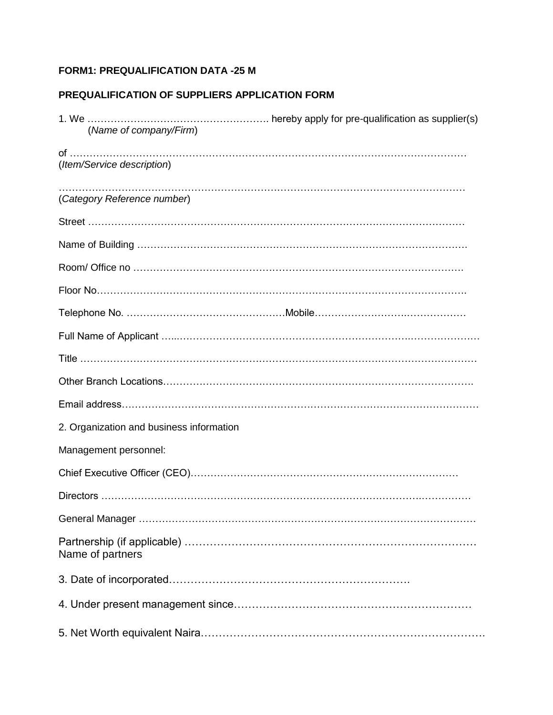### **FORM1: PREQUALIFICATION DATA -25 M**

### **PREQUALIFICATION OF SUPPLIERS APPLICATION FORM**

| (Name of company/Firm)                   |  |
|------------------------------------------|--|
| (Item/Service description)               |  |
| (Category Reference number)              |  |
|                                          |  |
|                                          |  |
|                                          |  |
|                                          |  |
|                                          |  |
|                                          |  |
|                                          |  |
|                                          |  |
|                                          |  |
| 2. Organization and business information |  |
| Management personnel:                    |  |
|                                          |  |
|                                          |  |
|                                          |  |
| Name of partners                         |  |
|                                          |  |
|                                          |  |
|                                          |  |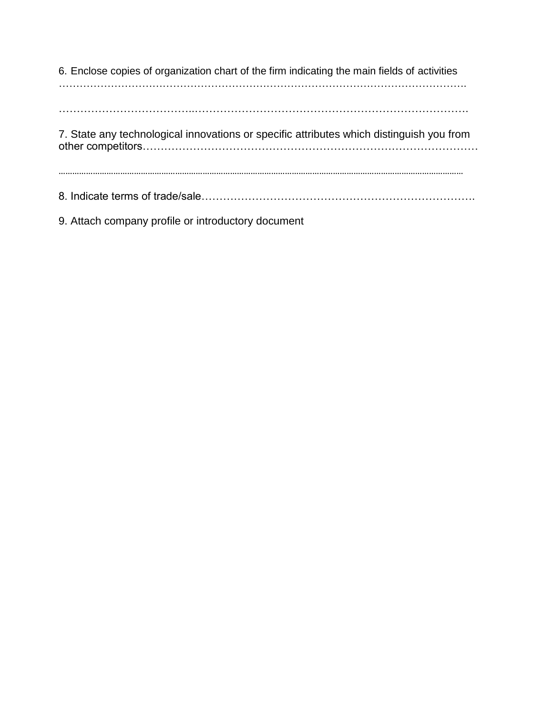6. Enclose copies of organization chart of the firm indicating the main fields of activities ………………………………………………………………………………………………………. ………………………………..…………………………………………………………………. 7. State any technological innovations or specific attributes which distinguish you from other competitors………………………………………………………………………………… …………………………………………………………………………………………………………………………………………………………… 8. Indicate terms of trade/sale………………………………………………………………….

9. Attach company profile or introductory document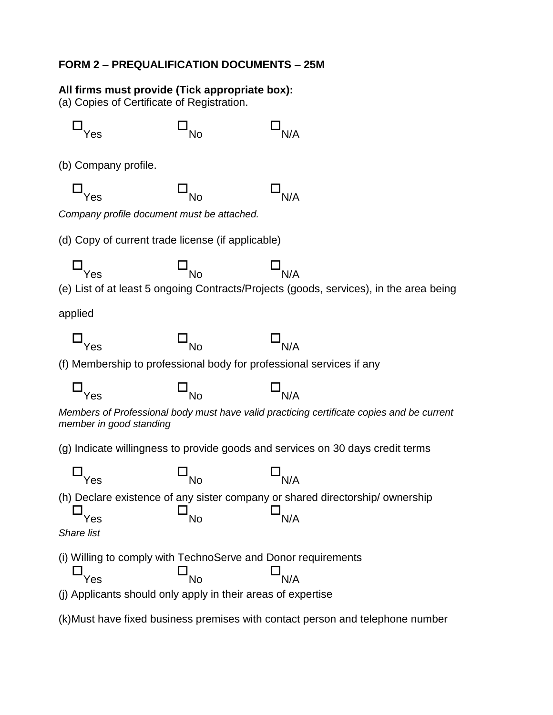### **FORM 2 – PREQUALIFICATION DOCUMENTS – 25M**

### **All firms must provide (Tick appropriate box):**

(a) Copies of Certificate of Registration.

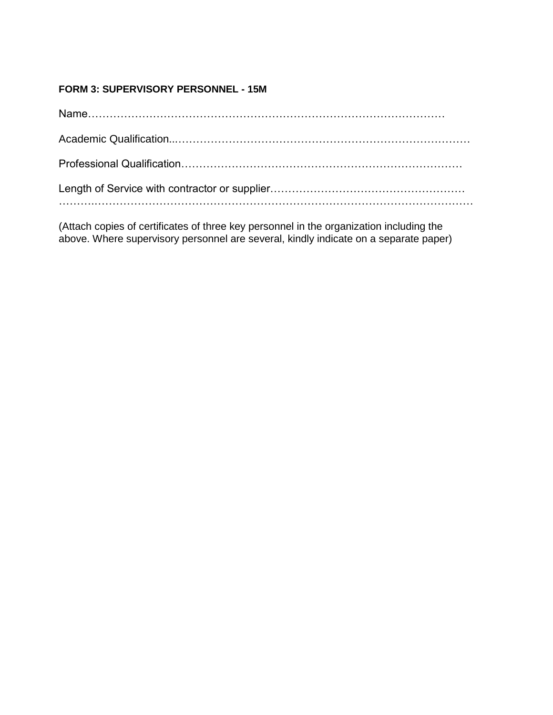### **FORM 3: SUPERVISORY PERSONNEL - 15M**

(Attach copies of certificates of three key personnel in the organization including the above. Where supervisory personnel are several, kindly indicate on a separate paper)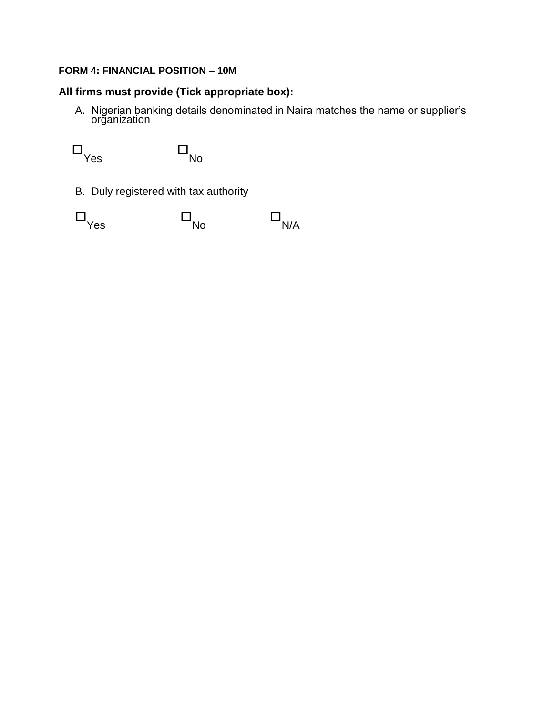### **FORM 4: FINANCIAL POSITION – 10M**

### **All firms must provide (Tick appropriate box):**

A. Nigerian banking details denominated in Naira matches the name or supplier's organization

 $\square_{\text{Yes}}$  $\Box_{\hbox{\scriptsize No}}$ 

B. Duly registered with tax authority

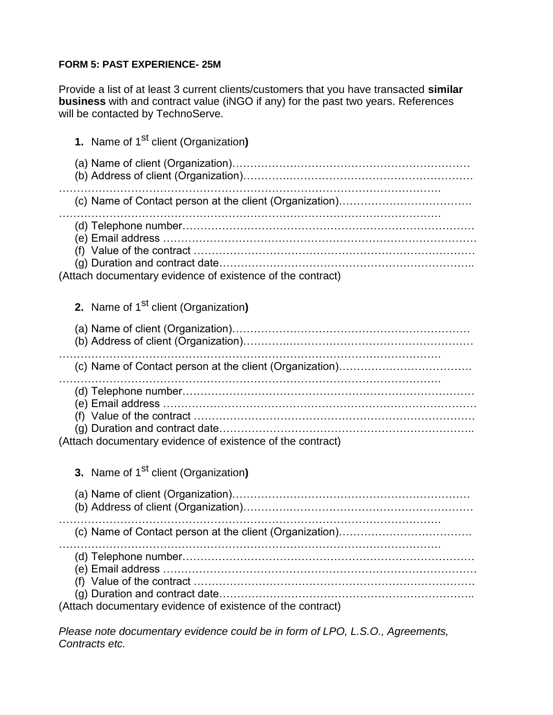### **FORM 5: PAST EXPERIENCE- 25M**

Provide a list of at least 3 current clients/customers that you have transacted **similar business** with and contract value (iNGO if any) for the past two years. References will be contacted by TechnoServe.

| 1. Name of 1 <sup>st</sup> client (Organization)                                                            |
|-------------------------------------------------------------------------------------------------------------|
|                                                                                                             |
|                                                                                                             |
| (Attach documentary evidence of existence of the contract)                                                  |
| 2. Name of 1 <sup>st</sup> client (Organization)                                                            |
|                                                                                                             |
|                                                                                                             |
| (e) Email address ………………………………………………………………………<br>(Attach documentary evidence of existence of the contract) |
| 3. Name of 1 <sup>st</sup> client (Organization)                                                            |
|                                                                                                             |
|                                                                                                             |
| (Attach documentary evidence of existence of the contract)                                                  |

*Please note documentary evidence could be in form of LPO, L.S.O., Agreements, Contracts etc.*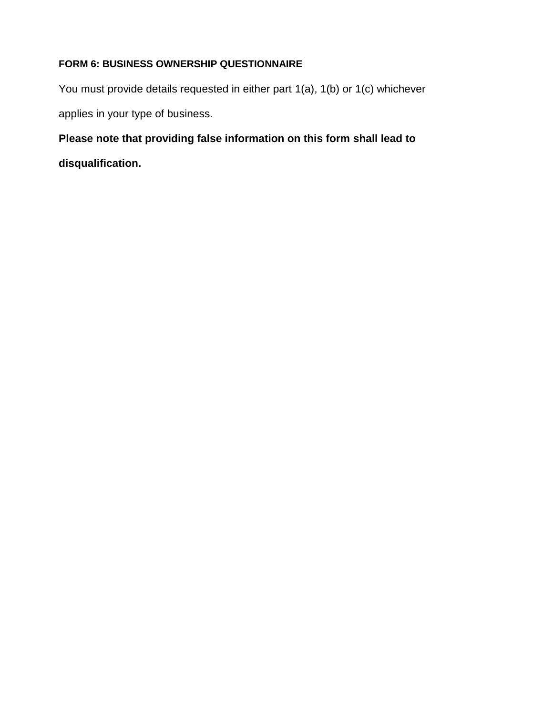### **FORM 6: BUSINESS OWNERSHIP QUESTIONNAIRE**

You must provide details requested in either part 1(a), 1(b) or 1(c) whichever applies in your type of business.

## **Please note that providing false information on this form shall lead to**

**disqualification.**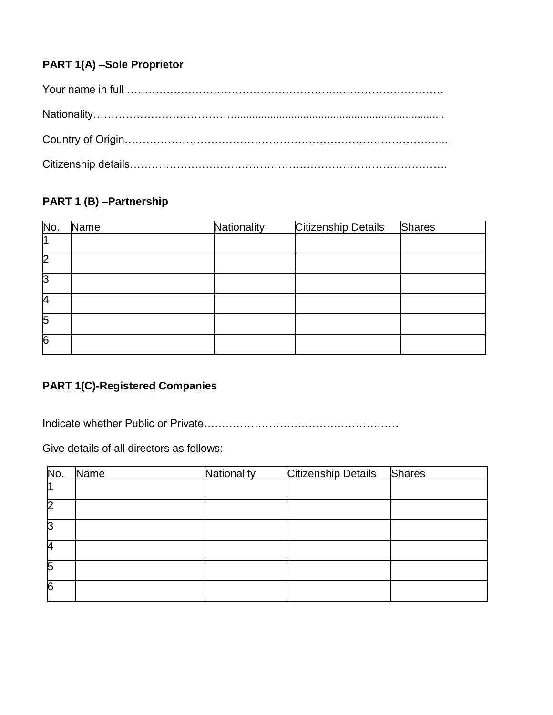### **PART 1(A) –Sole Proprietor**

## **PART 1 (B) –Partnership**

| No. | <b>Name</b> | Nationality | <b>Citizenship Details</b> | <b>Shares</b> |
|-----|-------------|-------------|----------------------------|---------------|
|     |             |             |                            |               |
| l2  |             |             |                            |               |
| 3   |             |             |                            |               |
| 4   |             |             |                            |               |
| 5   |             |             |                            |               |
| 6   |             |             |                            |               |

### **PART 1(C)-Registered Companies**

Indicate whether Public or Private………………………………………………

Give details of all directors as follows:

| No.            | Name | Nationality | Citizenship Details | <b>Shares</b> |
|----------------|------|-------------|---------------------|---------------|
|                |      |             |                     |               |
| l2             |      |             |                     |               |
| IЗ             |      |             |                     |               |
| 4              |      |             |                     |               |
| 5              |      |             |                     |               |
| $\overline{6}$ |      |             |                     |               |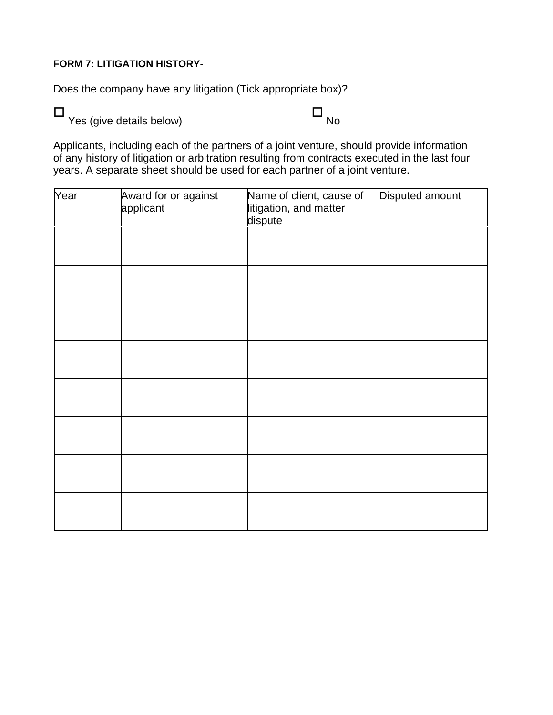### **FORM 7: LITIGATION HISTORY-**

Does the company have any litigation (Tick appropriate box)?

 $\begin{array}{ccc}\n\Box & & \ \\ \n\vdots & \vdots & \ \\n\end{array}$ 

Applicants, including each of the partners of a joint venture, should provide information of any history of litigation or arbitration resulting from contracts executed in the last four years. A separate sheet should be used for each partner of a joint venture.

| Year | Award for or against<br>applicant | Name of client, cause of<br>litigation, and matter<br>dispute | Disputed amount |
|------|-----------------------------------|---------------------------------------------------------------|-----------------|
|      |                                   |                                                               |                 |
|      |                                   |                                                               |                 |
|      |                                   |                                                               |                 |
|      |                                   |                                                               |                 |
|      |                                   |                                                               |                 |
|      |                                   |                                                               |                 |
|      |                                   |                                                               |                 |
|      |                                   |                                                               |                 |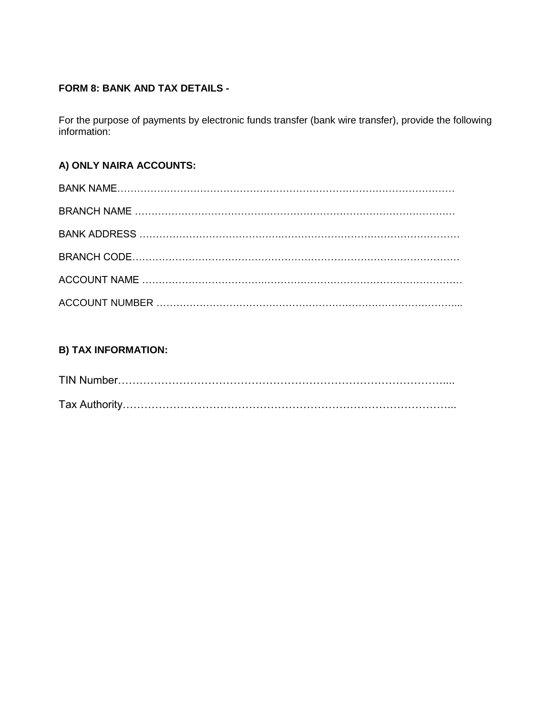### **FORM 8: BANK AND TAX DETAILS -**

For the purpose of payments by electronic funds transfer (bank wire transfer), provide the following information:

### **A) ONLY NAIRA ACCOUNTS:**

### **B) TAX INFORMATION:**